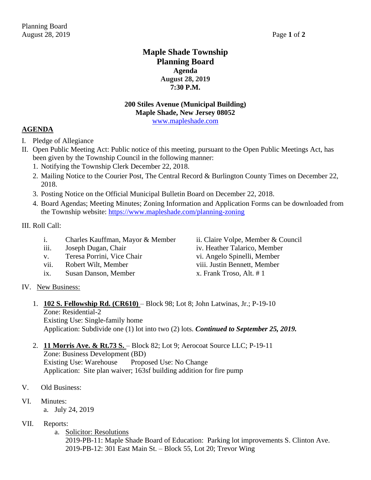## **Maple Shade Township Planning Board Agenda August 28, 2019 7:30 P.M.**

# **200 Stiles Avenue (Municipal Building) Maple Shade, New Jersey 08052**

[www.mapleshade.com](http://www.mapleshade.com/)

#### **AGENDA**

- I. Pledge of Allegiance
- II. Open Public Meeting Act: Public notice of this meeting, pursuant to the Open Public Meetings Act, has been given by the Township Council in the following manner:
	- 1. Notifying the Township Clerk December 22, 2018.
	- 2. Mailing Notice to the Courier Post, The Central Record & Burlington County Times on December 22, 2018.
	- 3. Posting Notice on the Official Municipal Bulletin Board on December 22, 2018.
	- 4. Board Agendas; Meeting Minutes; Zoning Information and Application Forms can be downloaded from the Township website:<https://www.mapleshade.com/planning-zoning>

III. Roll Call:

- i. Charles Kauffman, Mayor & Member ii. Claire Volpe, Member & Council
- iii. Joseph Dugan, Chair iv. Heather Talarico, Member
- v. Teresa Porrini, Vice Chair vi. Angelo Spinelli, Member
- vii. Robert Wilt, Member viii. Justin Bennett, Member
- ix. Susan Danson, Member x. Frank Troso, Alt. # 1

IV. New Business:

### 1. **102 S. Fellowship Rd. (CR610)** – Block 98; Lot 8; John Latwinas, Jr.; P-19-10 Zone: Residential-2 Existing Use: Single-family home

- Application: Subdivide one (1) lot into two (2) lots. *Continued to September 25, 2019.*
- 2. **11 Morris Ave. & Rt.73 S.**  Block 82; Lot 9; Aerocoat Source LLC; P-19-11 Zone: Business Development (BD) Existing Use: Warehouse Proposed Use: No Change Application: Site plan waiver; 163sf building addition for fire pump
- V. Old Business:
- VI. Minutes:
	- a. July 24, 2019
- VII. Reports:
	- a. Solicitor: Resolutions

2019-PB-11: Maple Shade Board of Education: Parking lot improvements S. Clinton Ave. 2019-PB-12: 301 East Main St. – Block 55, Lot 20; Trevor Wing